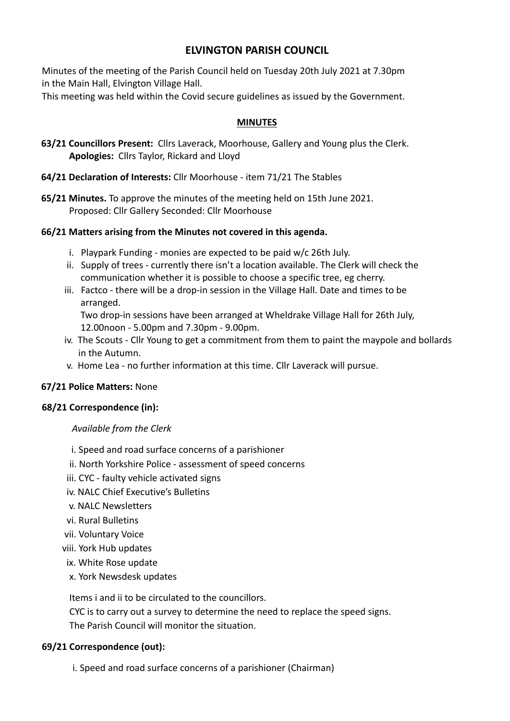# **ELVINGTON PARISH COUNCIL**

Minutes of the meeting of the Parish Council held on Tuesday 20th July 2021 at 7.30pm in the Main Hall, Elvington Village Hall.

This meeting was held within the Covid secure guidelines as issued by the Government.

#### **MINUTES**

- **63/21 Councillors Present:** Cllrs Laverack, Moorhouse, Gallery and Young plus the Clerk. **Apologies:** Cllrs Taylor, Rickard and Lloyd
- **64/21 Declaration of Interests:** Cllr Moorhouse item 71/21 The Stables
- **65/21 Minutes.** To approve the minutes of the meeting held on 15th June 2021. Proposed: Cllr Gallery Seconded: Cllr Moorhouse

#### **66/21 Matters arising from the Minutes not covered in this agenda.**

- i. Playpark Funding monies are expected to be paid w/c 26th July.
- ii. Supply of trees currently there isn't a location available. The Clerk will check the communication whether it is possible to choose a specific tree, eg cherry.
- iii. Factco there will be a drop-in session in the Village Hall. Date and times to be arranged.

Two drop-in sessions have been arranged at Wheldrake Village Hall for 26th July, 12.00noon - 5.00pm and 7.30pm - 9.00pm.

- iv. The Scouts Cllr Young to get a commitment from them to paint the maypole and bollards in the Autumn.
- v. Home Lea no further information at this time. Cllr Laverack will pursue.

# **67/21 Police Matters:** None

# **68/21 Correspondence (in):**

*Available from the Clerk*

- i. Speed and road surface concerns of a parishioner
- ii. North Yorkshire Police assessment of speed concerns
- iii. CYC faulty vehicle activated signs
- iv. NALC Chief Executive's Bulletins
- v. NALC Newsletters
- vi. Rural Bulletins
- vii. Voluntary Voice
- viii. York Hub updates
- ix. White Rose update
- x. York Newsdesk updates

Items i and ii to be circulated to the councillors.

CYC is to carry out a survey to determine the need to replace the speed signs. The Parish Council will monitor the situation.

#### **69/21 Correspondence (out):**

i. Speed and road surface concerns of a parishioner (Chairman)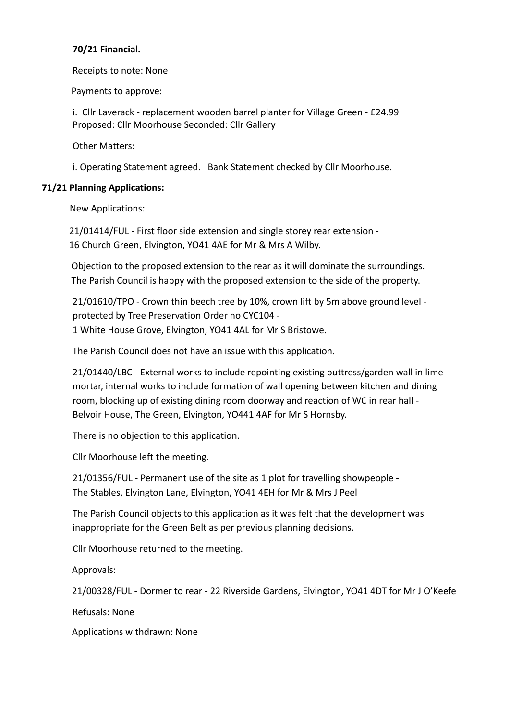#### **70/21 Financial.**

Receipts to note: None

Payments to approve:

i. Cllr Laverack - replacement wooden barrel planter for Village Green - £24.99 Proposed: Cllr Moorhouse Seconded: Cllr Gallery

Other Matters:

i. Operating Statement agreed. Bank Statement checked by Cllr Moorhouse.

#### **71/21 Planning Applications:**

New Applications:

21/01414/FUL - First floor side extension and single storey rear extension - 16 Church Green, Elvington, YO41 4AE for Mr & Mrs A Wilby.

Objection to the proposed extension to the rear as it will dominate the surroundings. The Parish Council is happy with the proposed extension to the side of the property.

21/01610/TPO - Crown thin beech tree by 10%, crown lift by 5m above ground level protected by Tree Preservation Order no CYC104 - 1 White House Grove, Elvington, YO41 4AL for Mr S Bristowe.

The Parish Council does not have an issue with this application.

21/01440/LBC - External works to include repointing existing buttress/garden wall in lime mortar, internal works to include formation of wall opening between kitchen and dining room, blocking up of existing dining room doorway and reaction of WC in rear hall - Belvoir House, The Green, Elvington, YO441 4AF for Mr S Hornsby.

There is no objection to this application.

Cllr Moorhouse left the meeting.

21/01356/FUL - Permanent use of the site as 1 plot for travelling showpeople - The Stables, Elvington Lane, Elvington, YO41 4EH for Mr & Mrs J Peel

The Parish Council objects to this application as it was felt that the development was inappropriate for the Green Belt as per previous planning decisions.

Cllr Moorhouse returned to the meeting.

Approvals:

21/00328/FUL - Dormer to rear - 22 Riverside Gardens, Elvington, YO41 4DT for Mr J O'Keefe

Refusals: None

Applications withdrawn: None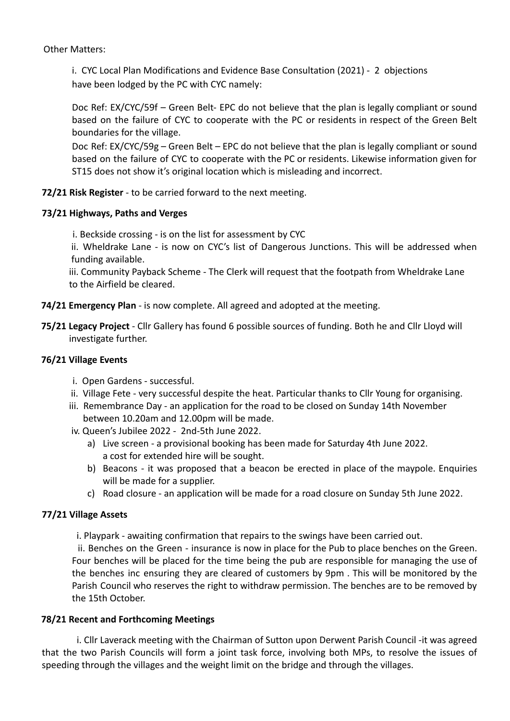Other Matters:

i. CYC Local Plan Modifications and Evidence Base Consultation (2021) - 2 objections have been lodged by the PC with CYC namely:

Doc Ref: EX/CYC/59f – Green Belt- EPC do not believe that the plan is legally compliant or sound based on the failure of CYC to cooperate with the PC or residents in respect of the Green Belt boundaries for the village.

Doc Ref: EX/CYC/59g – Green Belt – EPC do not believe that the plan is legally compliant or sound based on the failure of CYC to cooperate with the PC or residents. Likewise information given for ST15 does not show it's original location which is misleading and incorrect.

**72/21 Risk Register** - to be carried forward to the next meeting.

# **73/21 Highways, Paths and Verges**

i. Beckside crossing - is on the list for assessment by CYC

ii. Wheldrake Lane - is now on CYC's list of Dangerous Junctions. This will be addressed when funding available.

iii. Community Payback Scheme - The Clerk will request that the footpath from Wheldrake Lane to the Airfield be cleared.

# **74/21 Emergency Plan** - is now complete. All agreed and adopted at the meeting.

**75/21 Legacy Project** - Cllr Gallery has found 6 possible sources of funding. Both he and Cllr Lloyd will investigate further.

# **76/21 Village Events**

- i. Open Gardens successful.
- ii. Village Fete very successful despite the heat. Particular thanks to Cllr Young for organising.
- iii. Remembrance Day an application for the road to be closed on Sunday 14th November between 10.20am and 12.00pm will be made.
- iv. Queen's Jubilee 2022 2nd-5th June 2022.
	- a) Live screen a provisional booking has been made for Saturday 4th June 2022. a cost for extended hire will be sought.
	- b) Beacons it was proposed that a beacon be erected in place of the maypole. Enquiries will be made for a supplier.
	- c) Road closure an application will be made for a road closure on Sunday 5th June 2022.

# **77/21 Village Assets**

i. Playpark - awaiting confirmation that repairs to the swings have been carried out.

ii. Benches on the Green - insurance is now in place for the Pub to place benches on the Green. Four benches will be placed for the time being the pub are responsible for managing the use of the benches inc ensuring they are cleared of customers by 9pm . This will be monitored by the Parish Council who reserves the right to withdraw permission. The benches are to be removed by the 15th October.

# **78/21 Recent and Forthcoming Meetings**

i. Cllr Laverack meeting with the Chairman of Sutton upon Derwent Parish Council -it was agreed that the two Parish Councils will form a joint task force, involving both MPs, to resolve the issues of speeding through the villages and the weight limit on the bridge and through the villages.